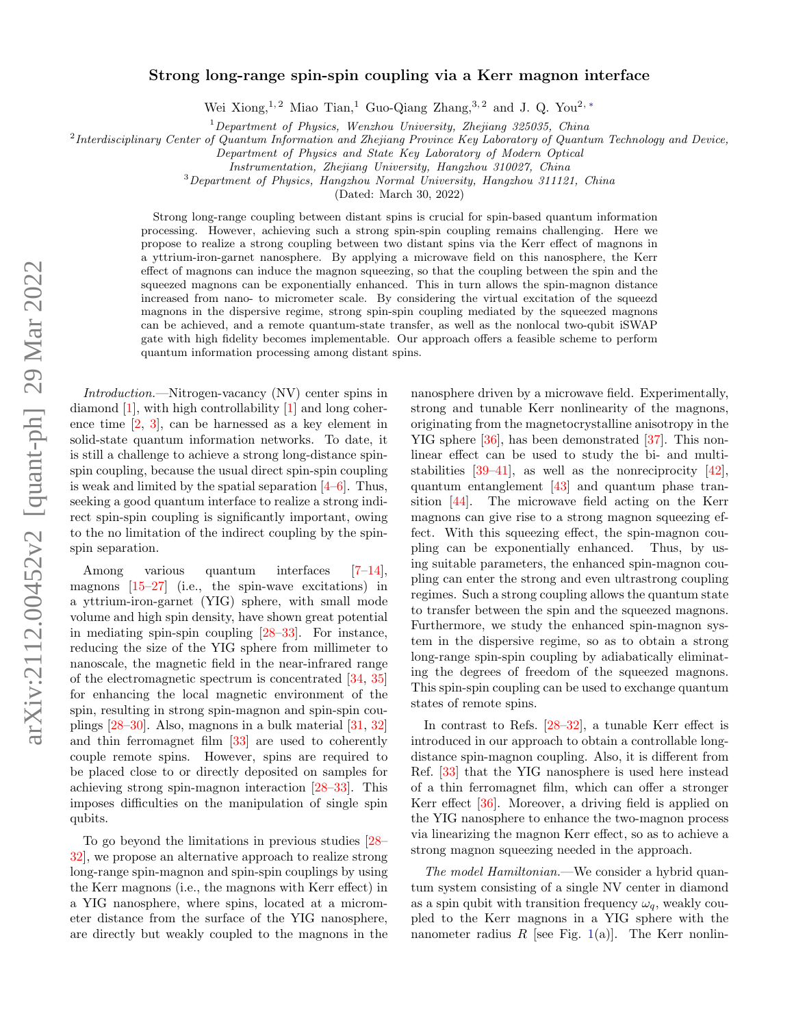## Strong long-range spin-spin coupling via a Kerr magnon interface

Wei Xiong,<sup>1, 2</sup> Miao Tian,<sup>1</sup> Guo-Qiang Zhang,<sup>3, 2</sup> and J. Q. You<sup>2, [∗](#page-3-0)</sup>

 $1$ Department of Physics, Wenzhou University, Zhejiang 325035, China

<sup>2</sup>Interdisciplinary Center of Quantum Information and Zhejiang Province Key Laboratory of Quantum Technology and Device,

Department of Physics and State Key Laboratory of Modern Optical

Instrumentation, Zhejiang University, Hangzhou 310027, China

<sup>3</sup>Department of Physics, Hangzhou Normal University, Hangzhou 311121, China

(Dated: March 30, 2022)

Strong long-range coupling between distant spins is crucial for spin-based quantum information processing. However, achieving such a strong spin-spin coupling remains challenging. Here we propose to realize a strong coupling between two distant spins via the Kerr effect of magnons in a yttrium-iron-garnet nanosphere. By applying a microwave field on this nanosphere, the Kerr effect of magnons can induce the magnon squeezing, so that the coupling between the spin and the squeezed magnons can be exponentially enhanced. This in turn allows the spin-magnon distance increased from nano- to micrometer scale. By considering the virtual excitation of the squeezd magnons in the dispersive regime, strong spin-spin coupling mediated by the squeezed magnons can be achieved, and a remote quantum-state transfer, as well as the nonlocal two-qubit iSWAP gate with high fidelity becomes implementable. Our approach offers a feasible scheme to perform quantum information processing among distant spins.

Introduction.—Nitrogen-vacancy (NV) center spins in diamond [\[1\]](#page-3-1), with high controllability [\[1\]](#page-3-1) and long coherence time [\[2,](#page-3-2) [3\]](#page-3-3), can be harnessed as a key element in solid-state quantum information networks. To date, it is still a challenge to achieve a strong long-distance spinspin coupling, because the usual direct spin-spin coupling is weak and limited by the spatial separation  $[4–6]$  $[4–6]$ . Thus, seeking a good quantum interface to realize a strong indirect spin-spin coupling is significantly important, owing to the no limitation of the indirect coupling by the spinspin separation.

Among various quantum interfaces [\[7–](#page-4-0)[14\]](#page-4-1), magnons  $[15-27]$  $[15-27]$  (i.e., the spin-wave excitations) in a yttrium-iron-garnet (YIG) sphere, with small mode volume and high spin density, have shown great potential in mediating spin-spin coupling [\[28](#page-4-4)[–33\]](#page-4-5). For instance, reducing the size of the YIG sphere from millimeter to nanoscale, the magnetic field in the near-infrared range of the electromagnetic spectrum is concentrated [\[34,](#page-4-6) [35\]](#page-4-7) for enhancing the local magnetic environment of the spin, resulting in strong spin-magnon and spin-spin couplings [\[28](#page-4-4)[–30\]](#page-4-8). Also, magnons in a bulk material [\[31,](#page-4-9) [32\]](#page-4-10) and thin ferromagnet film [\[33\]](#page-4-5) are used to coherently couple remote spins. However, spins are required to be placed close to or directly deposited on samples for achieving strong spin-magnon interaction [\[28–](#page-4-4)[33\]](#page-4-5). This imposes difficulties on the manipulation of single spin qubits.

To go beyond the limitations in previous studies [\[28–](#page-4-4) [32\]](#page-4-10), we propose an alternative approach to realize strong long-range spin-magnon and spin-spin couplings by using the Kerr magnons (i.e., the magnons with Kerr effect) in a YIG nanosphere, where spins, located at a micrometer distance from the surface of the YIG nanosphere, are directly but weakly coupled to the magnons in the

nanosphere driven by a microwave field. Experimentally, strong and tunable Kerr nonlinearity of the magnons, originating from the magnetocrystalline anisotropy in the YIG sphere [\[36\]](#page-4-11), has been demonstrated [\[37\]](#page-4-12). This nonlinear effect can be used to study the bi- and multistabilities [\[39](#page-4-13)[–41\]](#page-4-14), as well as the nonreciprocity [\[42\]](#page-5-0), quantum entanglement [\[43\]](#page-5-1) and quantum phase transition [\[44\]](#page-5-2). The microwave field acting on the Kerr magnons can give rise to a strong magnon squeezing effect. With this squeezing effect, the spin-magnon coupling can be exponentially enhanced. Thus, by using suitable parameters, the enhanced spin-magnon coupling can enter the strong and even ultrastrong coupling regimes. Such a strong coupling allows the quantum state to transfer between the spin and the squeezed magnons. Furthermore, we study the enhanced spin-magnon system in the dispersive regime, so as to obtain a strong long-range spin-spin coupling by adiabatically eliminating the degrees of freedom of the squeezed magnons. This spin-spin coupling can be used to exchange quantum states of remote spins.

In contrast to Refs. [\[28–](#page-4-4)[32\]](#page-4-10), a tunable Kerr effect is introduced in our approach to obtain a controllable longdistance spin-magnon coupling. Also, it is different from Ref. [\[33\]](#page-4-5) that the YIG nanosphere is used here instead of a thin ferromagnet film, which can offer a stronger Kerr effect [\[36\]](#page-4-11). Moreover, a driving field is applied on the YIG nanosphere to enhance the two-magnon process via linearizing the magnon Kerr effect, so as to achieve a strong magnon squeezing needed in the approach.

The model Hamiltonian.—We consider a hybrid quantum system consisting of a single NV center in diamond as a spin qubit with transition frequency  $\omega_q$ , weakly coupled to the Kerr magnons in a YIG sphere with the nanometer radius R [see Fig. [1\(](#page-1-0)a)]. The Kerr nonlin-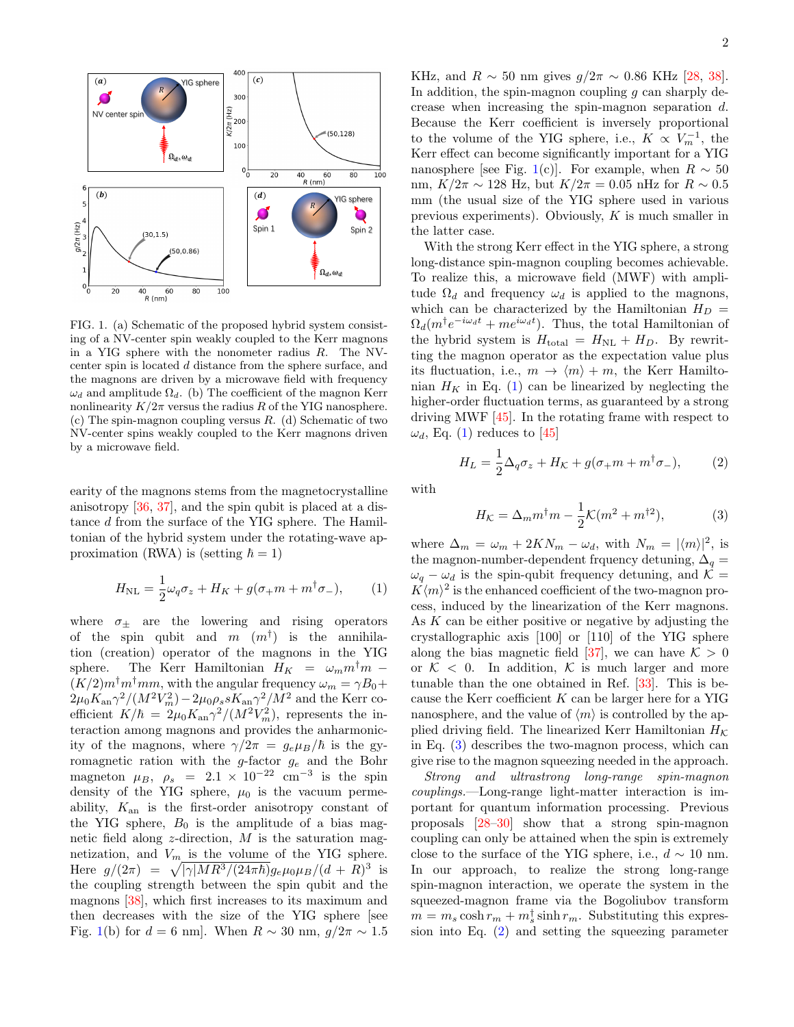

<span id="page-1-0"></span>FIG. 1. (a) Schematic of the proposed hybrid system consisting of a NV-center spin weakly coupled to the Kerr magnons in a YIG sphere with the nonometer radius R. The NVcenter spin is located d distance from the sphere surface, and the magnons are driven by a microwave field with frequency  $\omega_d$  and amplitude  $\Omega_d$ . (b) The coefficient of the magnon Kerr nonlinearity  $K/2\pi$  versus the radius R of the YIG nanosphere. (c) The spin-magnon coupling versus  $R.$  (d) Schematic of two NV-center spins weakly coupled to the Kerr magnons driven by a microwave field.

earity of the magnons stems from the magnetocrystalline anisotropy [\[36,](#page-4-11) [37\]](#page-4-12), and the spin qubit is placed at a distance d from the surface of the YIG sphere. The Hamiltonian of the hybrid system under the rotating-wave approximation (RWA) is (setting  $\hbar = 1$ )

$$
H_{\rm NL} = \frac{1}{2}\omega_q \sigma_z + H_K + g(\sigma_+ m + m^\dagger \sigma_-),\qquad(1)
$$

where  $\sigma_{+}$  are the lowering and rising operators of the spin qubit and  $m(m^{\dagger})$  is the annihilation (creation) operator of the magnons in the YIG sphere. The Kerr Hamiltonian  $H_K = \omega_m m^{\dagger} m$  –  $(K/2)m^{\dagger}m^{\dagger}mm$ , with the angular frequency  $\omega_m = \gamma B_0 +$  $2\mu_0 K_{\rm an}\gamma^2/(M^2V_m^2)-2\mu_0\rho_s s K_{\rm an}\gamma^2/M^2$  and the Kerr coefficient  $K/\hbar = 2\mu_0 K_{\rm an} \gamma^2/(M^2 V_m^2)$ , represents the interaction among magnons and provides the anharmonicity of the magnons, where  $\gamma/2\pi = g_e\mu_B/\hbar$  is the gyromagnetic ration with the g-factor  $g_e$  and the Bohr magneton  $\mu_B$ ,  $\rho_s = 2.1 \times 10^{-22}$  cm<sup>-3</sup> is the spin density of the YIG sphere,  $\mu_0$  is the vacuum permeability,  $K_{\text{an}}$  is the first-order anisotropy constant of the YIG sphere,  $B_0$  is the amplitude of a bias magnetic field along  $z$ -direction,  $M$  is the saturation magnetization, and  $V_m$  is the volume of the YIG sphere. Here  $g/(2\pi) = \sqrt{|\gamma|MR^3/(24\pi\hbar)}g_e\mu_0\mu_B/(d + R)^3$  is the coupling strength between the spin qubit and the magnons [\[38\]](#page-4-15), which first increases to its maximum and then decreases with the size of the YIG sphere [see Fig. [1\(](#page-1-0)b) for  $d = 6$  nm]. When  $R \sim 30$  nm,  $g/2\pi \sim 1.5$ 

KHz, and  $R \sim 50$  nm gives  $g/2\pi \sim 0.86$  KHz [\[28,](#page-4-4) [38\]](#page-4-15). In addition, the spin-magnon coupling  $q$  can sharply decrease when increasing the spin-magnon separation d. Because the Kerr coefficient is inversely proportional to the volume of the YIG sphere, i.e.,  $K \propto V_m^{-1}$ , the Kerr effect can become significantly important for a YIG nanosphere [see Fig. [1\(](#page-1-0)c)]. For example, when  $R \sim 50$ nm,  $K/2\pi \sim 128$  Hz, but  $K/2\pi = 0.05$  nHz for  $R \sim 0.5$ mm (the usual size of the YIG sphere used in various previous experiments). Obviously, K is much smaller in the latter case.

With the strong Kerr effect in the YIG sphere, a strong long-distance spin-magnon coupling becomes achievable. To realize this, a microwave field (MWF) with amplitude  $\Omega_d$  and frequency  $\omega_d$  is applied to the magnons, which can be characterized by the Hamiltonian  $H_D =$  $\Omega_d(m^{\dagger}e^{-i\omega_d t} + me^{i\omega_d t})$ . Thus, the total Hamiltonian of the hybrid system is  $H_{\text{total}} = H_{\text{NL}} + H_{D}$ . By rewritting the magnon operator as the expectation value plus its fluctuation, i.e.,  $m \to \langle m \rangle + m$ , the Kerr Hamiltonian  $H_K$  in Eq. [\(1\)](#page-1-1) can be linearized by neglecting the higher-order fluctuation terms, as guaranteed by a strong driving MWF [\[45\]](#page-5-3). In the rotating frame with respect to  $\omega_d$ , Eq. [\(1\)](#page-1-1) reduces to [\[45\]](#page-5-3)

$$
H_L = \frac{1}{2}\Delta_q \sigma_z + H_K + g(\sigma_+ m + m^\dagger \sigma_-),\tag{2}
$$

with

<span id="page-1-3"></span><span id="page-1-2"></span>
$$
H_{\mathcal{K}} = \Delta_m m^\dagger m - \frac{1}{2} \mathcal{K}(m^2 + m^{\dagger 2}),\tag{3}
$$

<span id="page-1-1"></span>where  $\Delta_m = \omega_m + 2KN_m - \omega_d$ , with  $N_m = |\langle m \rangle|^2$ , is the magnon-number-dependent frquency detuning,  $\Delta_q =$  $\omega_q - \omega_d$  is the spin-qubit frequency detuning, and K =  $K\langle m\rangle^2$  is the enhanced coefficient of the two-magnon process, induced by the linearization of the Kerr magnons. As  $K$  can be either positive or negative by adjusting the crystallographic axis [100] or [110] of the YIG sphere along the bias magnetic field [\[37\]](#page-4-12), we can have  $K > 0$ or  $K < 0$ . In addition, K is much larger and more tunable than the one obtained in Ref. [\[33\]](#page-4-5). This is because the Kerr coefficient  $K$  can be larger here for a YIG nanosphere, and the value of  $\langle m \rangle$  is controlled by the applied driving field. The linearized Kerr Hamiltonian  $H_K$ in Eq. [\(3\)](#page-1-2) describes the two-magnon process, which can give rise to the magnon squeezing needed in the approach.

Strong and ultrastrong long-range spin-magnon couplings.—Long-range light-matter interaction is important for quantum information processing. Previous proposals [\[28](#page-4-4)[–30\]](#page-4-8) show that a strong spin-magnon coupling can only be attained when the spin is extremely close to the surface of the YIG sphere, i.e.,  $d \sim 10$  nm. In our approach, to realize the strong long-range spin-magnon interaction, we operate the system in the squeezed-magnon frame via the Bogoliubov transform  $m = m_s \cosh r_m + m_s^{\dagger} \sinh r_m$ . Substituting this expression into Eq. [\(2\)](#page-1-3) and setting the squeezing parameter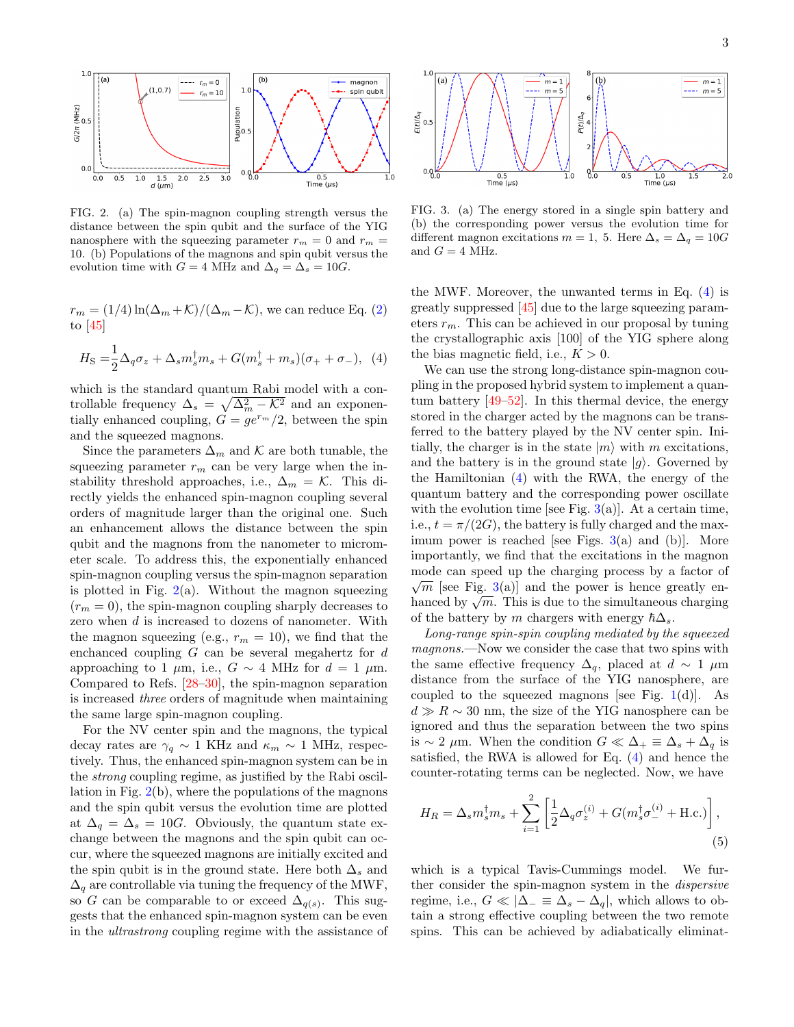

<span id="page-2-0"></span>FIG. 2. (a) The spin-magnon coupling strength versus the distance between the spin qubit and the surface of the YIG nanosphere with the squeezing parameter  $r_m = 0$  and  $r_m =$ 10. (b) Populations of the magnons and spin qubit versus the evolution time with  $G = 4$  MHz and  $\Delta_q = \Delta_s = 10G$ .

 $r_m = (1/4) \ln(\Delta_m + \mathcal{K})/(\Delta_m - \mathcal{K})$ , we can reduce Eq. [\(2\)](#page-1-3) to [\[45\]](#page-5-3)

$$
H_{\rm S} = \frac{1}{2} \Delta_q \sigma_z + \Delta_s m_s^{\dagger} m_s + G(m_s^{\dagger} + m_s)(\sigma_+ + \sigma_-), \tag{4}
$$

which is the standard quantum Rabi model with a controllable frequency  $\Delta_s = \sqrt{\Delta_m^2 - \mathcal{K}^2}$  and an exponentially enhanced coupling,  $G = g e^{r_m}/2$ , between the spin and the squeezed magnons.

Since the parameters  $\Delta_m$  and K are both tunable, the squeezing parameter  $r_m$  can be very large when the instability threshold approaches, i.e.,  $\Delta_m = \mathcal{K}$ . This directly yields the enhanced spin-magnon coupling several orders of magnitude larger than the original one. Such an enhancement allows the distance between the spin qubit and the magnons from the nanometer to micrometer scale. To address this, the exponentially enhanced spin-magnon coupling versus the spin-magnon separation is plotted in Fig.  $2(a)$  $2(a)$ . Without the magnon squeezing  $(r_m = 0)$ , the spin-magnon coupling sharply decreases to zero when d is increased to dozens of nanometer. With the magnon squeezing (e.g.,  $r_m = 10$ ), we find that the enchanced coupling  $G$  can be several megahertz for  $d$ approaching to 1  $\mu$ m, i.e.,  $G \sim 4$  MHz for  $d = 1 \mu$ m. Compared to Refs. [\[28](#page-4-4)[–30\]](#page-4-8), the spin-magnon separation is increased three orders of magnitude when maintaining the same large spin-magnon coupling.

For the NV center spin and the magnons, the typical decay rates are  $\gamma_q \sim 1$  KHz and  $\kappa_m \sim 1$  MHz, respectively. Thus, the enhanced spin-magnon system can be in the strong coupling regime, as justified by the Rabi oscillation in Fig. [2\(](#page-2-0)b), where the populations of the magnons and the spin qubit versus the evolution time are plotted at  $\Delta_q = \Delta_s = 10G$ . Obviously, the quantum state exchange between the magnons and the spin qubit can occur, where the squeezed magnons are initially excited and the spin qubit is in the ground state. Here both  $\Delta_s$  and  $\Delta_q$  are controllable via tuning the frequency of the MWF, so G can be comparable to or exceed  $\Delta_{q(s)}$ . This suggests that the enhanced spin-magnon system can be even in the ultrastrong coupling regime with the assistance of



<span id="page-2-2"></span>FIG. 3. (a) The energy stored in a single spin battery and (b) the corresponding power versus the evolution time for different magnon excitations  $m = 1$ , 5. Here  $\Delta_s = \Delta_q = 10G$ and  $G = 4$  MHz.

the MWF. Moreover, the unwanted terms in Eq. [\(4\)](#page-2-1) is greatly suppressed [\[45\]](#page-5-3) due to the large squeezing parameters  $r_m$ . This can be achieved in our proposal by tuning the crystallographic axis [100] of the YIG sphere along the bias magnetic field, i.e.,  $K > 0$ .

<span id="page-2-1"></span>We can use the strong long-distance spin-magnon coupling in the proposed hybrid system to implement a quantum battery [\[49–](#page-5-4)[52\]](#page-5-5). In this thermal device, the energy stored in the charger acted by the magnons can be transferred to the battery played by the NV center spin. Initially, the charger is in the state  $|m\rangle$  with m excitations, and the battery is in the ground state  $|g\rangle$ . Governed by the Hamiltonian [\(4\)](#page-2-1) with the RWA, the energy of the quantum battery and the corresponding power oscillate with the evolution time [see Fig.  $3(a)$  $3(a)$ ]. At a certain time, i.e.,  $t = \pi/(2G)$ , the battery is fully charged and the maximum power is reached [see Figs.  $3(a)$  $3(a)$  and (b)]. More importantly, we find that the excitations in the magnon mode can speed up the charging process by a factor of  $\sqrt{m}$  [see Fig. [3\(](#page-2-2)a)] and the power is hence greatly en- $\sqrt{m}$  [see Fig. 5(a)] and the power is hence greatly en-<br>hanced by  $\sqrt{m}$ . This is due to the simultaneous charging of the battery by m chargers with energy  $\hbar\Delta_s$ .

Long-range spin-spin coupling mediated by the squeezed magnons.—Now we consider the case that two spins with the same effective frequency  $\Delta_q$ , placed at  $d \sim 1 \mu m$ distance from the surface of the YIG nanosphere, are coupled to the squeezed magnons [see Fig.  $1(d)$  $1(d)$ ]. As  $d \gg R \sim 30$  nm, the size of the YIG nanosphere can be ignored and thus the separation between the two spins is ∼ 2 μm. When the condition  $G \ll \Delta_+ \equiv \Delta_s + \Delta_q$  is satisfied, the RWA is allowed for Eq. [\(4\)](#page-2-1) and hence the counter-rotating terms can be neglected. Now, we have

$$
H_R = \Delta_s m_s^{\dagger} m_s + \sum_{i=1}^{2} \left[ \frac{1}{2} \Delta_q \sigma_z^{(i)} + G(m_s^{\dagger} \sigma_-^{(i)} + \text{H.c.}) \right],\tag{5}
$$

which is a typical Tavis-Cummings model. We further consider the spin-magnon system in the dispersive regime, i.e.,  $G \ll |\Delta_{-} \equiv \Delta_{s} - \Delta_{q}|$ , which allows to obtain a strong effective coupling between the two remote spins. This can be achieved by adiabatically eliminat-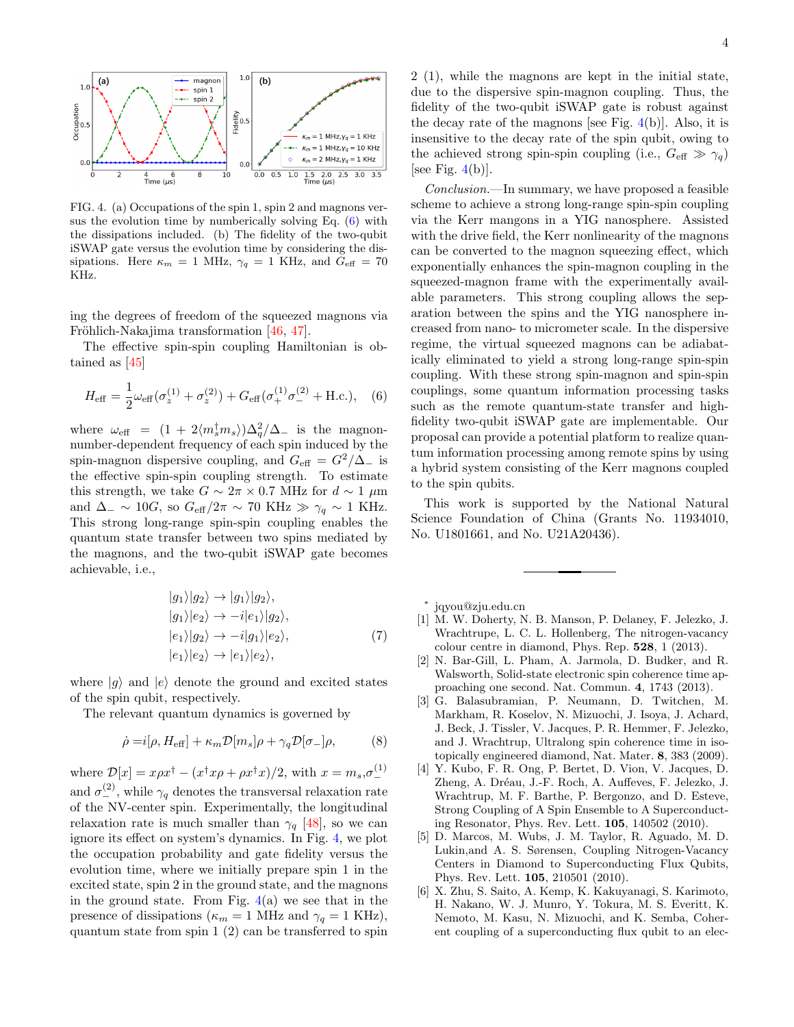

<span id="page-3-7"></span>FIG. 4. (a) Occupations of the spin 1, spin 2 and magnons versus the evolution time by numberically solving Eq. [\(6\)](#page-3-6) with the dissipations included. (b) The fidelity of the two-qubit iSWAP gate versus the evolution time by considering the dissipations. Here  $\kappa_m = 1$  MHz,  $\gamma_q = 1$  KHz, and  $G_{\text{eff}} = 70$ KHz.

ing the degrees of freedom of the squeezed magnons via Fröhlich-Nakajima transformation [\[46,](#page-5-6) [47\]](#page-5-7).

The effective spin-spin coupling Hamiltonian is obtained as [\[45\]](#page-5-3)

$$
H_{\text{eff}} = \frac{1}{2}\omega_{\text{eff}}(\sigma_z^{(1)} + \sigma_z^{(2)}) + G_{\text{eff}}(\sigma_+^{(1)}\sigma_-^{(2)} + \text{H.c.}), \quad (6)
$$

where  $\omega_{\text{eff}} = (1 + 2\langle m_s^{\dagger} m_s \rangle) \Delta_q^2 / \Delta_{-}$  is the magnonnumber-dependent frequency of each spin induced by the spin-magnon dispersive coupling, and  $G_{\text{eff}} = G^2/\Delta_-$  is the effective spin-spin coupling strength. To estimate this strength, we take  $G \sim 2\pi \times 0.7$  MHz for  $d \sim 1 \ \mu \text{m}$ and  $\Delta_-\sim 10G$ , so  $G_{\text{eff}}/2\pi\sim 70$  KHz  $\gg \gamma_q \sim 1$  KHz. This strong long-range spin-spin coupling enables the quantum state transfer between two spins mediated by the magnons, and the two-qubit iSWAP gate becomes achievable, i.e.,

$$
|g_1\rangle|g_2\rangle \rightarrow |g_1\rangle|g_2\rangle, \n|g_1\rangle|e_2\rangle \rightarrow -i|e_1\rangle|g_2\rangle, \n|e_1\rangle|g_2\rangle \rightarrow -i|g_1\rangle|e_2\rangle, \n|e_1\rangle|e_2\rangle \rightarrow |e_1\rangle|e_2\rangle, \tag{7}
$$

where  $|g\rangle$  and  $|e\rangle$  denote the ground and excited states of the spin qubit, respectively.

The relevant quantum dynamics is governed by

$$
\dot{\rho} = i[\rho, H_{\text{eff}}] + \kappa_m \mathcal{D}[m_s] \rho + \gamma_q \mathcal{D}[\sigma_-] \rho, \tag{8}
$$

where  $\mathcal{D}[x] = x\rho x^{\dagger} - (x^{\dagger}x\rho + \rho x^{\dagger}x)/2$ , with  $x = m_s, \sigma^{(1)}$ and  $\sigma_{-}^{(2)}$ , while  $\gamma_q$  denotes the transversal relaxation rate of the NV-center spin. Experimentally, the longitudinal relaxation rate is much smaller than  $\gamma_q$  [\[48\]](#page-5-8), so we can ignore its effect on system's dynamics. In Fig. [4,](#page-3-7) we plot the occupation probability and gate fidelity versus the evolution time, where we initially prepare spin 1 in the excited state, spin 2 in the ground state, and the magnons in the ground state. From Fig.  $4(a)$  $4(a)$  we see that in the presence of dissipations ( $\kappa_m = 1$  MHz and  $\gamma_q = 1$  KHz), quantum state from spin 1 (2) can be transferred to spin

2 (1), while the magnons are kept in the initial state, due to the dispersive spin-magnon coupling. Thus, the fidelity of the two-qubit iSWAP gate is robust against the decay rate of the magnons [see Fig.  $4(b)$  $4(b)$ ]. Also, it is insensitive to the decay rate of the spin qubit, owing to the achieved strong spin-spin coupling (i.e.,  $G_{\text{eff}} \gg \gamma_a$ ) [see Fig.  $4(b)$  $4(b)$ ].

Conclusion.—In summary, we have proposed a feasible scheme to achieve a strong long-range spin-spin coupling via the Kerr mangons in a YIG nanosphere. Assisted with the drive field, the Kerr nonlinearity of the magnons can be converted to the magnon squeezing effect, which exponentially enhances the spin-magnon coupling in the squeezed-magnon frame with the experimentally available parameters. This strong coupling allows the separation between the spins and the YIG nanosphere increased from nano- to micrometer scale. In the dispersive regime, the virtual squeezed magnons can be adiabatically eliminated to yield a strong long-range spin-spin coupling. With these strong spin-magnon and spin-spin couplings, some quantum information processing tasks such as the remote quantum-state transfer and highfidelity two-qubit iSWAP gate are implementable. Our proposal can provide a potential platform to realize quantum information processing among remote spins by using a hybrid system consisting of the Kerr magnons coupled to the spin qubits.

<span id="page-3-6"></span>This work is supported by the National Natural Science Foundation of China (Grants No. 11934010, No. U1801661, and No. U21A20436).

<span id="page-3-0"></span>∗ jqyou@zju.edu.cn

- <span id="page-3-1"></span>[1] M. W. Doherty, N. B. Manson, P. Delaney, F. Jelezko, J. Wrachtrupe, L. C. L. Hollenberg, The nitrogen-vacancy colour centre in diamond, Phys. Rep. 528, 1 (2013).
- <span id="page-3-2"></span>[2] N. Bar-Gill, L. Pham, A. Jarmola, D. Budker, and R. Walsworth, Solid-state electronic spin coherence time approaching one second. Nat. Commun. 4, 1743 (2013).
- <span id="page-3-3"></span>[3] G. Balasubramian, P. Neumann, D. Twitchen, M. Markham, R. Koselov, N. Mizuochi, J. Isoya, J. Achard, J. Beck, J. Tissler, V. Jacques, P. R. Hemmer, F. Jelezko, and J. Wrachtrup, Ultralong spin coherence time in isotopically engineered diamond, Nat. Mater. 8, 383 (2009).
- <span id="page-3-4"></span>[4] Y. Kubo, F. R. Ong, P. Bertet, D. Vion, V. Jacques, D. Zheng, A. Dréau, J.-F. Roch, A. Auffeves, F. Jelezko, J. Wrachtrup, M. F. Barthe, P. Bergonzo, and D. Esteve, Strong Coupling of A Spin Ensemble to A Superconducting Resonator, Phys. Rev. Lett. 105, 140502 (2010).
- [5] D. Marcos, M. Wubs, J. M. Taylor, R. Aguado, M. D. Lukin,and A. S. Sørensen, Coupling Nitrogen-Vacancy Centers in Diamond to Superconducting Flux Qubits, Phys. Rev. Lett. 105, 210501 (2010).
- <span id="page-3-5"></span>[6] X. Zhu, S. Saito, A. Kemp, K. Kakuyanagi, S. Karimoto, H. Nakano, W. J. Munro, Y. Tokura, M. S. Everitt, K. Nemoto, M. Kasu, N. Mizuochi, and K. Semba, Coherent coupling of a superconducting flux qubit to an elec-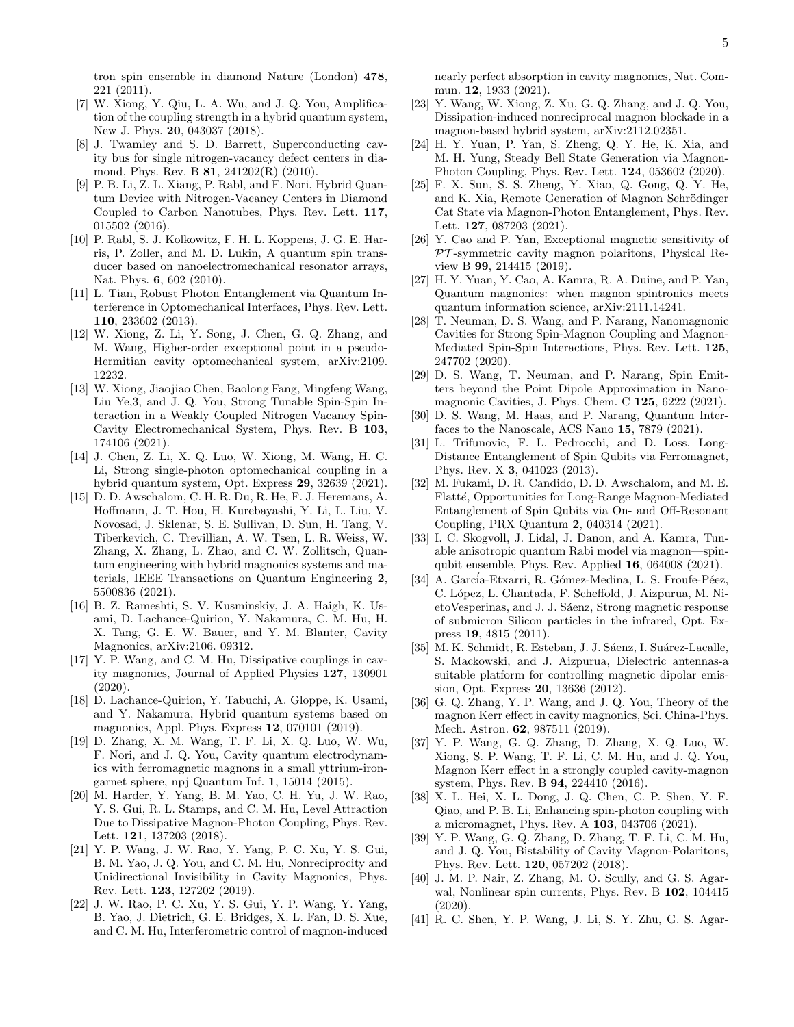tron spin ensemble in diamond Nature (London) 478, 221 (2011).

- <span id="page-4-0"></span>[7] W. Xiong, Y. Qiu, L. A. Wu, and J. Q. You, Amplification of the coupling strength in a hybrid quantum system, New J. Phys. 20, 043037 (2018).
- [8] J. Twamley and S. D. Barrett, Superconducting cavity bus for single nitrogen-vacancy defect centers in diamond, Phys. Rev. B 81, 241202(R) (2010).
- [9] P. B. Li, Z. L. Xiang, P. Rabl, and F. Nori, Hybrid Quantum Device with Nitrogen-Vacancy Centers in Diamond Coupled to Carbon Nanotubes, Phys. Rev. Lett. 117, 015502 (2016).
- [10] P. Rabl, S. J. Kolkowitz, F. H. L. Koppens, J. G. E. Harris, P. Zoller, and M. D. Lukin, A quantum spin transducer based on nanoelectromechanical resonator arrays, Nat. Phys. **6**, 602 (2010).
- <span id="page-4-16"></span>[11] L. Tian, Robust Photon Entanglement via Quantum Interference in Optomechanical Interfaces, Phys. Rev. Lett. 110, 233602 (2013).
- [12] W. Xiong, Z. Li, Y. Song, J. Chen, G. Q. Zhang, and M. Wang, Higher-order exceptional point in a pseudo-Hermitian cavity optomechanical system, arXiv:2109. 12232.
- [13] W. Xiong, Jiaojiao Chen, Baolong Fang, Mingfeng Wang, Liu Ye,3, and J. Q. You, Strong Tunable Spin-Spin Interaction in a Weakly Coupled Nitrogen Vacancy Spin-Cavity Electromechanical System, Phys. Rev. B 103, 174106 (2021).
- <span id="page-4-1"></span>[14] J. Chen, Z. Li, X. Q. Luo, W. Xiong, M. Wang, H. C. Li, Strong single-photon optomechanical coupling in a hybrid quantum system, Opt. Express 29, 32639 (2021).
- <span id="page-4-2"></span>[15] D. D. Awschalom, C. H. R. Du, R. He, F. J. Heremans, A. Hoffmann, J. T. Hou, H. Kurebayashi, Y. Li, L. Liu, V. Novosad, J. Sklenar, S. E. Sullivan, D. Sun, H. Tang, V. Tiberkevich, C. Trevillian, A. W. Tsen, L. R. Weiss, W. Zhang, X. Zhang, L. Zhao, and C. W. Zollitsch, Quantum engineering with hybrid magnonics systems and materials, IEEE Transactions on Quantum Engineering 2, 5500836 (2021).
- [16] B. Z. Rameshti, S. V. Kusminskiy, J. A. Haigh, K. Usami, D. Lachance-Quirion, Y. Nakamura, C. M. Hu, H. X. Tang, G. E. W. Bauer, and Y. M. Blanter, Cavity Magnonics, arXiv:2106. 09312.
- [17] Y. P. Wang, and C. M. Hu, Dissipative couplings in cavity magnonics, Journal of Applied Physics 127, 130901 (2020).
- [18] D. Lachance-Quirion, Y. Tabuchi, A. Gloppe, K. Usami, and Y. Nakamura, Hybrid quantum systems based on magnonics, Appl. Phys. Express 12, 070101 (2019).
- [19] D. Zhang, X. M. Wang, T. F. Li, X. Q. Luo, W. Wu, F. Nori, and J. Q. You, Cavity quantum electrodynamics with ferromagnetic magnons in a small yttrium-irongarnet sphere, npj Quantum Inf. 1, 15014 (2015).
- [20] M. Harder, Y. Yang, B. M. Yao, C. H. Yu, J. W. Rao, Y. S. Gui, R. L. Stamps, and C. M. Hu, Level Attraction Due to Dissipative Magnon-Photon Coupling, Phys. Rev. Lett. 121, 137203 (2018).
- [21] Y. P. Wang, J. W. Rao, Y. Yang, P. C. Xu, Y. S. Gui, B. M. Yao, J. Q. You, and C. M. Hu, Nonreciprocity and Unidirectional Invisibility in Cavity Magnonics, Phys. Rev. Lett. 123, 127202 (2019).
- [22] J. W. Rao, P. C. Xu, Y. S. Gui, Y. P. Wang, Y. Yang, B. Yao, J. Dietrich, G. E. Bridges, X. L. Fan, D. S. Xue, and C. M. Hu, Interferometric control of magnon-induced

nearly perfect absorption in cavity magnonics, Nat. Commun. 12, 1933 (2021).

- [23] Y. Wang, W. Xiong, Z. Xu, G. Q. Zhang, and J. Q. You, Dissipation-induced nonreciprocal magnon blockade in a magnon-based hybrid system, arXiv:2112.02351.
- [24] H. Y. Yuan, P. Yan, S. Zheng, Q. Y. He, K. Xia, and M. H. Yung, Steady Bell State Generation via Magnon-Photon Coupling, Phys. Rev. Lett. 124, 053602 (2020).
- [25] F. X. Sun, S. S. Zheng, Y. Xiao, Q. Gong, Q. Y. He, and K. Xia, Remote Generation of Magnon Schrödinger Cat State via Magnon-Photon Entanglement, Phys. Rev. Lett. 127, 087203 (2021).
- [26] Y. Cao and P. Yan, Exceptional magnetic sensitivity of  $PT$ -symmetric cavity magnon polaritons, Physical Review B 99, 214415 (2019).
- <span id="page-4-3"></span>[27] H. Y. Yuan, Y. Cao, A. Kamra, R. A. Duine, and P. Yan, Quantum magnonics: when magnon spintronics meets quantum information science, arXiv:2111.14241.
- <span id="page-4-4"></span>[28] T. Neuman, D. S. Wang, and P. Narang, Nanomagnonic Cavities for Strong Spin-Magnon Coupling and Magnon-Mediated Spin-Spin Interactions, Phys. Rev. Lett. 125, 247702 (2020).
- [29] D. S. Wang, T. Neuman, and P. Narang, Spin Emitters beyond the Point Dipole Approximation in Nanomagnonic Cavities, J. Phys. Chem. C 125, 6222 (2021).
- <span id="page-4-8"></span>[30] D. S. Wang, M. Haas, and P. Narang, Quantum Interfaces to the Nanoscale, ACS Nano 15, 7879 (2021).
- <span id="page-4-9"></span>[31] L. Trifunovic, F. L. Pedrocchi, and D. Loss, Long-Distance Entanglement of Spin Qubits via Ferromagnet, Phys. Rev. X 3, 041023 (2013).
- <span id="page-4-10"></span>[32] M. Fukami, D. R. Candido, D. D. Awschalom, and M. E. Flatté, Opportunities for Long-Range Magnon-Mediated Entanglement of Spin Qubits via On- and Off-Resonant Coupling, PRX Quantum 2, 040314 (2021).
- <span id="page-4-5"></span>[33] I. C. Skogvoll, J. Lidal, J. Danon, and A. Kamra, Tunable anisotropic quantum Rabi model via magnon—spinqubit ensemble, Phys. Rev. Applied 16, 064008 (2021).
- <span id="page-4-6"></span>[34] A. García-Etxarri, R. Gómez-Medina, L. S. Froufe-Péez, C. López, L. Chantada, F. Scheffold, J. Aizpurua, M. NietoVesperinas, and J. J. Sáenz, Strong magnetic response of submicron Silicon particles in the infrared, Opt. Express 19, 4815 (2011).
- <span id="page-4-7"></span>[35] M. K. Schmidt, R. Esteban, J. J. Sáenz, I. Suárez-Lacalle, S. Mackowski, and J. Aizpurua, Dielectric antennas-a suitable platform for controlling magnetic dipolar emission, Opt. Express 20, 13636 (2012).
- <span id="page-4-11"></span>[36] G. Q. Zhang, Y. P. Wang, and J. Q. You, Theory of the magnon Kerr effect in cavity magnonics, Sci. China-Phys. Mech. Astron. 62, 987511 (2019).
- <span id="page-4-12"></span>[37] Y. P. Wang, G. Q. Zhang, D. Zhang, X. Q. Luo, W. Xiong, S. P. Wang, T. F. Li, C. M. Hu, and J. Q. You, Magnon Kerr effect in a strongly coupled cavity-magnon system, Phys. Rev. B 94, 224410 (2016).
- <span id="page-4-15"></span>[38] X. L. Hei, X. L. Dong, J. Q. Chen, C. P. Shen, Y. F. Qiao, and P. B. Li, Enhancing spin-photon coupling with a micromagnet, Phys. Rev. A 103, 043706 (2021).
- <span id="page-4-13"></span>[39] Y. P. Wang, G. Q. Zhang, D. Zhang, T. F. Li, C. M. Hu, and J. Q. You, Bistability of Cavity Magnon-Polaritons, Phys. Rev. Lett. 120, 057202 (2018).
- [40] J. M. P. Nair, Z. Zhang, M. O. Scully, and G. S. Agarwal, Nonlinear spin currents, Phys. Rev. B 102, 104415 (2020).
- <span id="page-4-14"></span>[41] R. C. Shen, Y. P. Wang, J. Li, S. Y. Zhu, G. S. Agar-